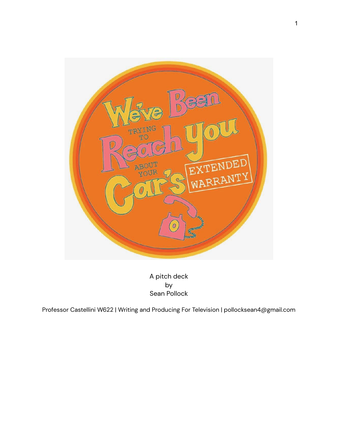

A pitch deck by Sean Pollock

Professor Castellini W622 | Writing and Producing For Television | pollocksean4@gmail.com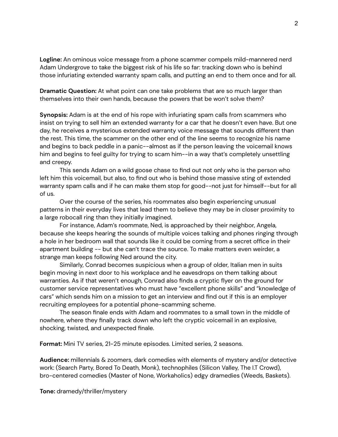**Logline:** An ominous voice message from a phone scammer compels mild-mannered nerd Adam Undergrove to take the biggest risk of his life so far: tracking down who is behind those infuriating extended warranty spam calls, and putting an end to them once and for all.

**Dramatic Question:** At what point can one take problems that are so much larger than themselves into their own hands, because the powers that be won't solve them?

**Synopsis:** Adam is at the end of his rope with infuriating spam calls from scammers who insist on trying to sell him an extended warranty for a car that he doesn't even have. But one day, he receives a mysterious extended warranty voice message that sounds different than the rest. This time, the scammer on the other end of the line seems to recognize his name and begins to back peddle in a panic--almost as if the person leaving the voicemail knows him and begins to feel guilty for trying to scam him--in a way that's completely unsettling and creepy.

This sends Adam on a wild goose chase to find out not only who is the person who left him this voicemail, but also, to find out who is behind those massive sting of extended warranty spam calls and if he can make them stop for good--not just for himself--but for all of us.

Over the course of the series, his roommates also begin experiencing unusual patterns in their everyday lives that lead them to believe they may be in closer proximity to a large robocall ring than they initially imagined.

For instance, Adam's roommate, Ned, is approached by their neighbor, Angela, because she keeps hearing the sounds of multiple voices talking and phones ringing through a hole in her bedroom wall that sounds like it could be coming from a secret office in their apartment building -- but she can't trace the source. To make matters even weirder, a strange man keeps following Ned around the city.

Similarly, Conrad becomes suspicious when a group of older, Italian men in suits begin moving in next door to his workplace and he eavesdrops on them talking about warranties. As if that weren't enough, Conrad also finds a cryptic flyer on the ground for customer service representatives who must have "excellent phone skills" and "knowledge of cars" which sends him on a mission to get an interview and find out if this is an employer recruiting employees for a potential phone-scamming scheme.

The season finale ends with Adam and roommates to a small town in the middle of nowhere, where they finally track down who left the cryptic voicemail in an explosive, shocking, twisted, and unexpected finale.

**Format:** Mini TV series, 21-25 minute episodes. Limited series, 2 seasons.

**Audience:** millennials & zoomers, dark comedies with elements of mystery and/or detective work: (Search Party, Bored To Death, Monk), technophiles (Silicon Valley, The I.T Crowd), bro-centered comedies (Master of None, Workaholics) edgy dramedies (Weeds, Baskets).

**Tone:** dramedy/thriller/mystery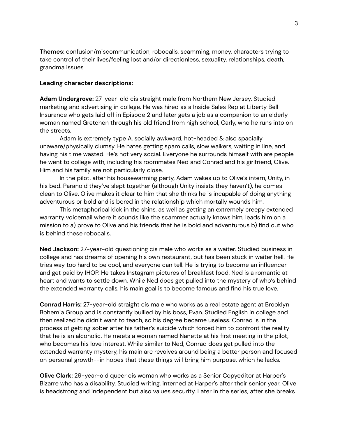**Themes:** confusion/miscommunication, robocalls, scamming, money, characters trying to take control of their lives/feeling lost and/or directionless, sexuality, relationships, death, grandma issues

## **Leading character descriptions:**

**Adam Undergrove:** 27-year-old cis straight male from Northern New Jersey. Studied marketing and advertising in college. He was hired as a Inside Sales Rep at Liberty Bell Insurance who gets laid off in Episode 2 and later gets a job as a companion to an elderly woman named Gretchen through his old friend from high school, Carly, who he runs into on the streets.

Adam is extremely type A, socially awkward, hot-headed & also spacially unaware/physically clumsy. He hates getting spam calls, slow walkers, waiting in line, and having his time wasted. He's not very social. Everyone he surrounds himself with are people he went to college with, including his roommates Ned and Conrad and his girlfriend, Olive. Him and his family are not particularly close.

In the pilot, after his housewarming party, Adam wakes up to Olive's intern, Unity, in his bed. Paranoid they've slept together (although Unity insists they haven't), he comes clean to Olive. Olive makes it clear to him that she thinks he is incapable of doing anything adventurous or bold and is bored in the relationship which mortally wounds him.

This metaphorical kick in the shins, as well as getting an extremely creepy extended warranty voicemail where it sounds like the scammer actually knows him, leads him on a mission to a) prove to Olive and his friends that he is bold and adventurous b) find out who is behind these robocalls.

**Ned Jackson:** 27-year-old questioning cis male who works as a waiter. Studied business in college and has dreams of opening his own restaurant, but has been stuck in waiter hell. He tries way too hard to be cool, and everyone can tell. He is trying to become an influencer and get paid by IHOP. He takes Instagram pictures of breakfast food. Ned is a romantic at heart and wants to settle down. While Ned does get pulled into the mystery of who's behind the extended warranty calls, his main goal is to become famous and find his true love.

**Conrad Harris:** 27-year-old straight cis male who works as a real estate agent at Brooklyn Bohemia Group and is constantly bullied by his boss, Evan. Studied English in college and then realized he didn't want to teach, so his degree became useless. Conrad is in the process of getting sober after his father's suicide which forced him to confront the reality that he is an alcoholic. He meets a woman named Nanette at his first meeting in the pilot, who becomes his love interest. While similar to Ned, Conrad does get pulled into the extended warranty mystery, his main arc revolves around being a better person and focused on personal growth--in hopes that these things will bring him purpose, which he lacks.

**Olive Clark:** 29-year-old queer cis woman who works as a Senior Copyeditor at Harper's Bizarre who has a disability. Studied writing, interned at Harper's after their senior year. Olive is headstrong and independent but also values security. Later in the series, after she breaks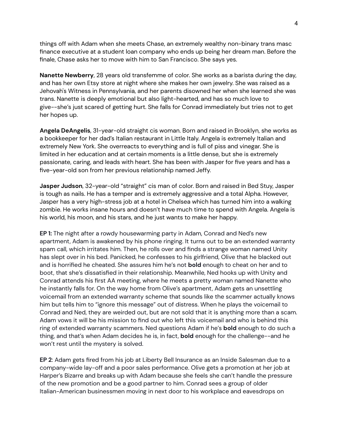things off with Adam when she meets Chase, an extremely wealthy non-binary trans masc finance executive at a student loan company who ends up being her dream man. Before the finale, Chase asks her to move with him to San Francisco. She says yes.

**Nanette Newberry**, 28 years old transfemme of color. She works as a barista during the day, and has her own Etsy store at night where she makes her own jewelry. She was raised as a Jehovah's Witness in Pennsylvania, and her parents disowned her when she learned she was trans. Nanette is deeply emotional but also light-hearted, and has so much love to give--she's just scared of getting hurt. She falls for Conrad immediately but tries not to get her hopes up.

**Angela DeAngelis**, 31-year-old straight cis woman. Born and raised in Brooklyn, she works as a bookkeeper for her dad's Italian restaurant in Little Italy. Angela is extremely Italian and extremely New York. She overreacts to everything and is full of piss and vinegar. She is limited in her education and at certain moments is a little dense, but she is extremely passionate, caring, and leads with heart. She has been with Jasper for five years and has a five-year-old son from her previous relationship named Jeffy.

**Jasper Judson**, 32-year-old "straight" cis man of color. Born and raised in Bed Stuy, Jasper is tough as nails. He has a temper and is extremely aggressive and a total Alpha. However, Jasper has a very high-stress job at a hotel in Chelsea which has turned him into a walking zombie. He works insane hours and doesn't have much time to spend with Angela. Angela is his world, his moon, and his stars, and he just wants to make her happy.

**EP 1:** The night after a rowdy housewarming party in Adam, Conrad and Ned's new apartment, Adam is awakened by his phone ringing. It turns out to be an extended warranty spam call, which irritates him. Then, he rolls over and finds a strange woman named Unity has slept over in his bed. Panicked, he confesses to his girlfriend, Olive that he blacked out and is horrified he cheated. She assures him he's not **bold** enough to cheat on her and to boot, that she's dissatisfied in their relationship. Meanwhile, Ned hooks up with Unity and Conrad attends his first AA meeting, where he meets a pretty woman named Nanette who he instantly falls for. On the way home from Olive's apartment, Adam gets an unsettling voicemail from an extended warranty scheme that sounds like the scammer actually knows him but tells him to "ignore this message" out of distress. When he plays the voicemail to Conrad and Ned, they are weirded out, but are not sold that it is anything more than a scam. Adam vows it will be his mission to find out who left this voicemail and who is behind this ring of extended warranty scammers. Ned questions Adam if he's **bold** enough to do such a thing, and that's when Adam decides he is, in fact, **bold** enough for the challenge--and he won't rest until the mystery is solved.

**EP 2**: Adam gets fired from his job at Liberty Bell Insurance as an Inside Salesman due to a company-wide lay-off and a poor sales performance. Olive gets a promotion at her job at Harper's Bizarre and breaks up with Adam because she feels she can't handle the pressure of the new promotion and be a good partner to him. Conrad sees a group of older Italian-American businessmen moving in next door to his workplace and eavesdrops on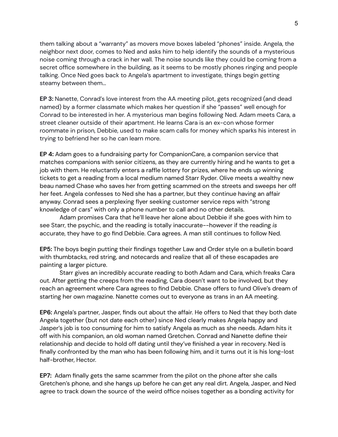them talking about a "warranty" as movers move boxes labeled "phones" inside. Angela, the neighbor next door, comes to Ned and asks him to help identify the sounds of a mysterious noise coming through a crack in her wall. The noise sounds like they could be coming from a secret office somewhere in the building, as it seems to be mostly phones ringing and people talking. Once Ned goes back to Angela's apartment to investigate, things begin getting steamy between them...

**EP 3:** Nanette, Conrad's love interest from the AA meeting pilot, gets recognized (and dead named) by a former classmate which makes her question if she "passes" well enough for Conrad to be interested in her. A mysterious man begins following Ned. Adam meets Cara, a street cleaner outside of their apartment. He learns Cara is an ex-con whose former roommate in prison, Debbie, used to make scam calls for money which sparks his interest in trying to befriend her so he can learn more.

**EP 4:** Adam goes to a fundraising party for CompanionCare, a companion service that matches companions with senior citizens, as they are currently hiring and he wants to get a job with them. He reluctantly enters a raffle lottery for prizes, where he ends up winning tickets to get a reading from a local medium named Starr Ryder. Olive meets a wealthy new beau named Chase who saves her from getting scammed on the streets and sweeps her off her feet. Angela confesses to Ned she has a partner, but they continue having an affair anyway. Conrad sees a perplexing flyer seeking customer service reps with "strong knowledge of cars" with only a phone number to call and no other details.

Adam promises Cara that he'll leave her alone about Debbie if she goes with him to see Starr, the psychic, and the reading is totally inaccurate--however if the reading *is* accurate, they have to go find Debbie. Cara agrees. A man still continues to follow Ned.

**EP5:** The boys begin putting their findings together Law and Order style on a bulletin board with thumbtacks, red string, and notecards and realize that all of these escapades are painting a larger picture.

Starr gives an incredibly accurate reading to both Adam and Cara, which freaks Cara out. After getting the creeps from the reading, Cara doesn't want to be involved, but they reach an agreement where Cara agrees to find Debbie. Chase offers to fund Olive's dream of starting her own magazine. Nanette comes out to everyone as trans in an AA meeting.

**EP6:** Angela's partner, Jasper, finds out about the affair. He offers to Ned that they both date Angela together (but not date each other) since Ned clearly makes Angela happy and Jasper's job is too consuming for him to satisfy Angela as much as she needs. Adam hits it off with his companion, an old woman named Gretchen. Conrad and Nanette define their relationship and decide to hold off dating until they've finished a year in recovery. Ned is finally confronted by the man who has been following him, and it turns out it is his long-lost half-brother, Hector.

**EP7:** Adam finally gets the same scammer from the pilot on the phone after she calls Gretchen's phone, and she hangs up before he can get any real dirt. Angela, Jasper, and Ned agree to track down the source of the weird office noises together as a bonding activity for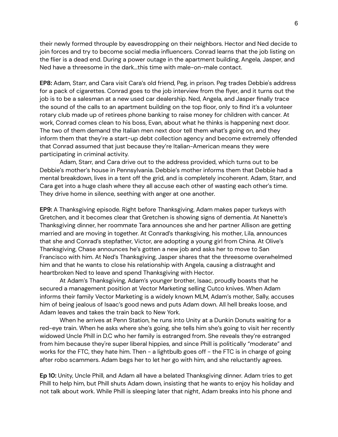their newly formed throuple by eavesdropping on their neighbors. Hector and Ned decide to join forces and try to become social media influencers. Conrad learns that the job listing on the flier is a dead end. During a power outage in the apartment building, Angela, Jasper, and Ned have a threesome in the dark...this time with male-on-male contact.

**EP8:** Adam, Starr, and Cara visit Cara's old friend, Peg, in prison. Peg trades Debbie's address for a pack of cigarettes. Conrad goes to the job interview from the flyer, and it turns out the job is to be a salesman at a new used car dealership. Ned, Angela, and Jasper finally trace the sound of the calls to an apartment building on the top floor, only to find it's a volunteer rotary club made up of retirees phone banking to raise money for children with cancer. At work, Conrad comes clean to his boss, Evan, about what he thinks is happening next door. The two of them demand the Italian men next door tell them what's going on, and they inform them that they're a start-up debt collection agency and become extremely offended that Conrad assumed that just because they're Italian-American means they were participating in criminal activity.

Adam, Starr, and Cara drive out to the address provided, which turns out to be Debbie's mother's house in Pennsylvania. Debbie's mother informs them that Debbie had a mental breakdown, lives in a tent off the grid, and is completely incoherent. Adam, Starr, and Cara get into a huge clash where they all accuse each other of wasting each other's time. They drive home in silence, seething with anger at one another.

**EP9:** A Thanksgiving episode. Right before Thanksgiving, Adam makes paper turkeys with Gretchen, and it becomes clear that Gretchen is showing signs of dementia. At Nanette's Thanksgiving dinner, her roommate Tara announces she and her partner Allison are getting married and are moving in together. At Conrad's thanksgiving, his mother, Lila, announces that she and Conrad's stepfather, Victor, are adopting a young girl from China. At Olive's Thanksgiving, Chase announces he's gotten a new job and asks her to move to San Francisco with him. At Ned's Thanksgiving, Jasper shares that the threesome overwhelmed him and that he wants to close his relationship with Angela, causing a distraught and heartbroken Ned to leave and spend Thanksgiving with Hector.

At Adam's Thanksgiving, Adam's younger brother, Isaac, proudly boasts that he secured a management position at Vector Marketing selling Cutco knives. When Adam informs their family Vector Marketing is a widely known MLM, Adam's mother, Sally, accuses him of being jealous of Isaac's good news and puts Adam down. All hell breaks loose, and Adam leaves and takes the train back to New York.

When he arrives at Penn Station, he runs into Unity at a Dunkin Donuts waiting for a red-eye train. When he asks where she's going, she tells him she's going to visit her recently widowed Uncle Phill in D.C who her family is estranged from. She reveals they're estranged from him because they're super liberal hippies, and since Phill is politically "moderate" and works for the FTC, they hate him. Then - a lightbulb goes off - the FTC is in charge of going after robo scammers. Adam begs her to let her go with him, and she reluctantly agrees.

**Ep 10:** Unity, Uncle Phill, and Adam all have a belated Thanksgiving dinner. Adam tries to get Phill to help him, but Phill shuts Adam down, insisting that he wants to enjoy his holiday and not talk about work. While Phill is sleeping later that night, Adam breaks into his phone and